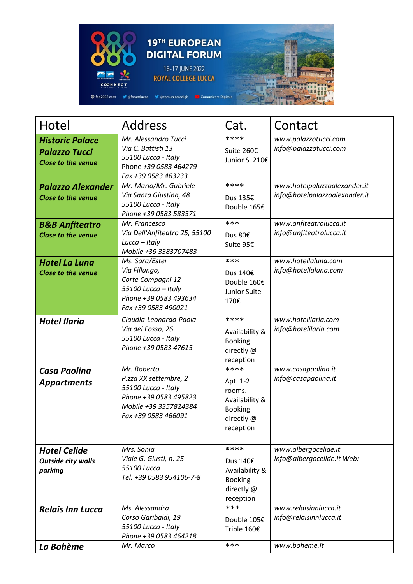

| Hotel                                                                       | <b>Address</b>                                                                                                                       | Cat.                                                                                      | Contact                                                       |
|-----------------------------------------------------------------------------|--------------------------------------------------------------------------------------------------------------------------------------|-------------------------------------------------------------------------------------------|---------------------------------------------------------------|
| <b>Historic Palace</b><br><b>Palazzo Tucci</b><br><b>Close to the venue</b> | Mr. Alessandro Tucci<br>Via C. Battisti 13<br>55100 Lucca - Italy<br>Phone +39 0583 464279<br>Fax +39 0583 463233                    | ****<br>Suite 260€<br>Junior S. 210€                                                      | www.palazzotucci.com<br>info@palazzotucci.com                 |
| <b>Palazzo Alexander</b><br><b>Close to the venue</b>                       | Mr. Mario/Mr. Gabriele<br>Via Santa Giustina, 48<br>55100 Lucca - Italy<br>Phone +39 0583 583571                                     | ****<br>Dus 135€<br>Double 165€                                                           | www.hotelpalazzoalexander.it<br>info@hotelpalazzoalexander.it |
| <b>B&amp;B Anfiteatro</b><br><b>Close to the venue</b>                      | Mr. Francesco<br>Via Dell'Anfiteatro 25, 55100<br>Lucca - Italy<br>Mobile +39 3383707483                                             | ***<br>Dus 80€<br>Suite 95€                                                               | www.anfiteatrolucca.it<br>info@anfiteatrolucca.it             |
| <b>Hotel La Luna</b><br><b>Close to the venue</b>                           | Ms. Sara/Ester<br>Via Fillungo,<br>Corte Compagni 12<br>55100 Lucca - Italy<br>Phone +39 0583 493634<br>Fax +39 0583 490021          | ***<br>Dus 140€<br>Double 160€<br>Junior Suite<br>170€                                    | www.hotellaluna.com<br>info@hotellaluna.com                   |
| <b>Hotel Ilaria</b>                                                         | Claudia-Leonardo-Paola<br>Via del Fosso, 26<br>55100 Lucca - Italy<br>Phone +39 0583 47615                                           | ****<br>Availability &<br><b>Booking</b><br>directly @<br>reception                       | www.hotelilaria.com<br>info@hotelilaria.com                   |
| <b>Casa Paolina</b><br><b>Appartments</b>                                   | Mr. Roberto<br>P.zza XX settembre, 2<br>55100 Lucca - Italy<br>Phone +39 0583 495823<br>Mobile +39 3357824384<br>Fax +39 0583 466091 | ****<br>Apt. 1-2<br>rooms.<br>Availability &<br><b>Booking</b><br>directly @<br>reception | www.casapaolina.it<br>info@casapaolina.it                     |
| <b>Hotel Celide</b><br><b>Outside city walls</b><br>parking                 | Mrs. Sonia<br>Viale G. Giusti, n. 25<br>55100 Lucca<br>Tel. +39 0583 954106-7-8                                                      | ****<br>Dus 140€<br>Availability &<br><b>Booking</b><br>directly @<br>reception           | www.albergocelide.it<br>info@albergocelide.it Web:            |
| <b>Relais Inn Lucca</b>                                                     | Ms. Alessandra<br>Corso Garibaldi, 19<br>55100 Lucca - Italy<br>Phone +39 0583 464218                                                | ***<br>Double 105€<br>Triple 160€                                                         | www.relaisinnlucca.it<br>info@relaisinnlucca.it               |
| La Bohème                                                                   | Mr. Marco                                                                                                                            | ***                                                                                       | www.boheme.it                                                 |